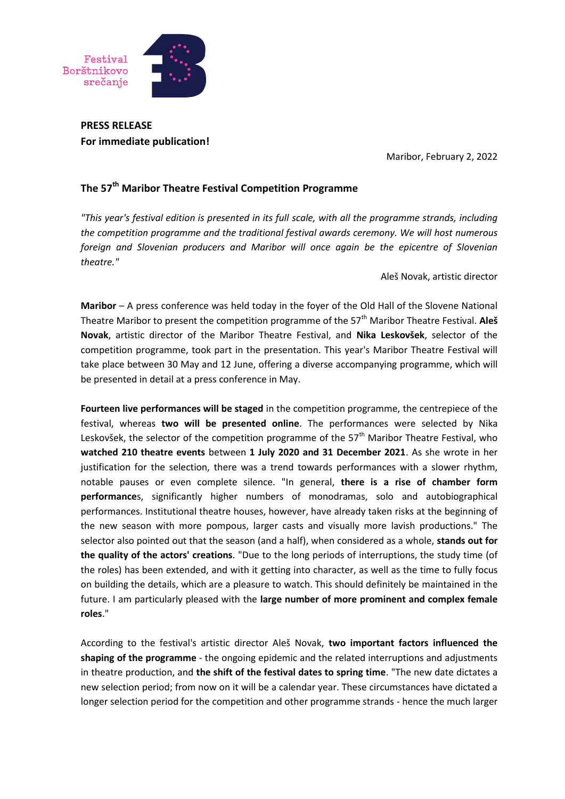

**PRESS RELEASE For immediate publication!**

Maribor, February 2, 2022

## **The 57th Maribor Theatre Festival Competition Programme**

*"This year's festival edition is presented in its full scale, with all the programme strands, including the competition programme and the traditional festival awards ceremony. We will host numerous foreign and Slovenian producers and Maribor will once again be the epicentre of Slovenian theatre."*

Aleš Novak, artistic director

**Maribor** – A press conference was held today in the foyer of the Old Hall of the Slovene National Theatre Maribor to present the competition programme of the 57<sup>th</sup> Maribor Theatre Festival. Ales **Novak**, artistic director of the Maribor Theatre Festival, and **Nika Leskovšek**, selector of the competition programme, took part in the presentation. This year's Maribor Theatre Festival will take place between 30 May and 12 June, offering a diverse accompanying programme, which will be presented in detail at a press conference in May.

**Fourteen live performances will be staged** in the competition programme, the centrepiece of the festival, whereas **two will be presented online**. The performances were selected by Nika Leskovšek, the selector of the competition programme of the  $57<sup>th</sup>$  Maribor Theatre Festival, who **watched 210 theatre events** between **1 July 2020 and 31 December 2021**. As she wrote in her justification for the selection, there was a trend towards performances with a slower rhythm, notable pauses or even complete silence. "In general, **there is a rise of chamber form performance**s, significantly higher numbers of monodramas, solo and autobiographical performances. Institutional theatre houses, however, have already taken risks at the beginning of the new season with more pompous, larger casts and visually more lavish productions." The selector also pointed out that the season (and a half), when considered as a whole, **stands out for the quality of the actors' creations**. "Due to the long periods of interruptions, the study time (of the roles) has been extended, and with it getting into character, as well as the time to fully focus on building the details, which are a pleasure to watch. This should definitely be maintained in the future. I am particularly pleased with the **large number of more prominent and complex female roles**."

According to the festival's artistic director Aleš Novak, **two important factors influenced the shaping of the programme** - the ongoing epidemic and the related interruptions and adjustments in theatre production, and **the shift of the festival dates to spring time**. "The new date dictates a new selection period; from now on it will be a calendar year. These circumstances have dictated a longer selection period for the competition and other programme strands - hence the much larger